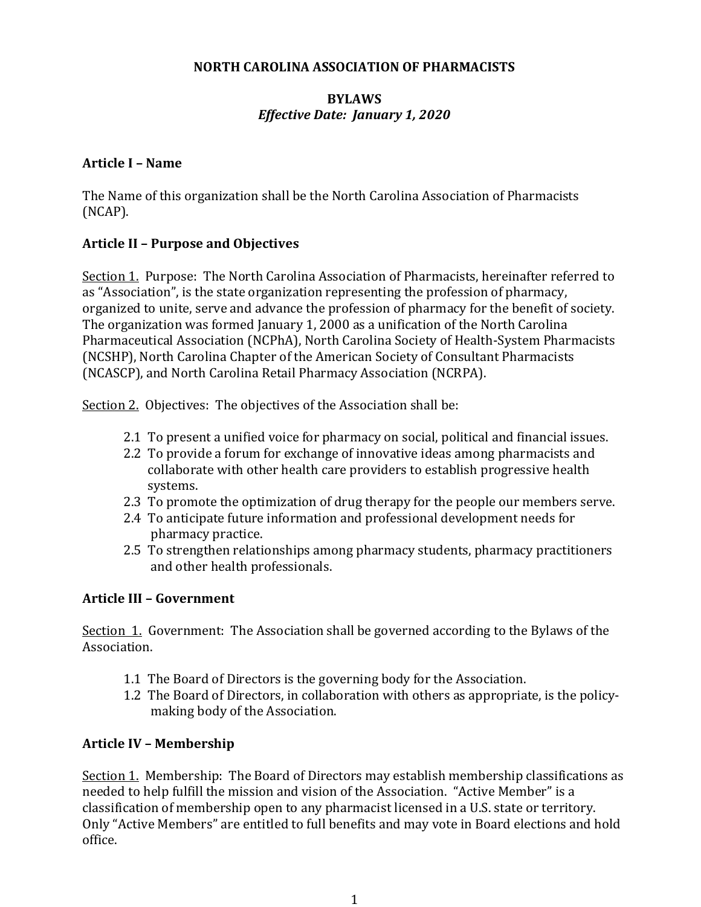#### **NORTH CAROLINA ASSOCIATION OF PHARMACISTS**

### **BYLAWS** *Effective Date: January 1, 2020*

#### **Article I – Name**

The Name of this organization shall be the North Carolina Association of Pharmacists (NCAP).

## **Article II – Purpose and Objectives**

Section 1. Purpose: The North Carolina Association of Pharmacists, hereinafter referred to as "Association", is the state organization representing the profession of pharmacy, organized to unite, serve and advance the profession of pharmacy for the benefit of society. The organization was formed January 1, 2000 as a unification of the North Carolina Pharmaceutical Association (NCPhA), North Carolina Society of Health-System Pharmacists (NCSHP), North Carolina Chapter of the American Society of Consultant Pharmacists (NCASCP), and North Carolina Retail Pharmacy Association (NCRPA).

Section 2. Objectives: The objectives of the Association shall be:

- 2.1 To present a unified voice for pharmacy on social, political and financial issues.
- 2.2 To provide a forum for exchange of innovative ideas among pharmacists and collaborate with other health care providers to establish progressive health systems.
- 2.3 To promote the optimization of drug therapy for the people our members serve.
- 2.4 To anticipate future information and professional development needs for pharmacy practice.
- 2.5 To strengthen relationships among pharmacy students, pharmacy practitioners and other health professionals.

### **Article III – Government**

Section 1. Government: The Association shall be governed according to the Bylaws of the Association.

- 1.1 The Board of Directors is the governing body for the Association.
- 1.2 The Board of Directors, in collaboration with others as appropriate, is the policymaking body of the Association.

### **Article IV – Membership**

Section 1. Membership: The Board of Directors may establish membership classifications as needed to help fulfill the mission and vision of the Association. "Active Member" is a classification of membership open to any pharmacist licensed in a U.S. state or territory. Only "Active Members" are entitled to full benefits and may vote in Board elections and hold office.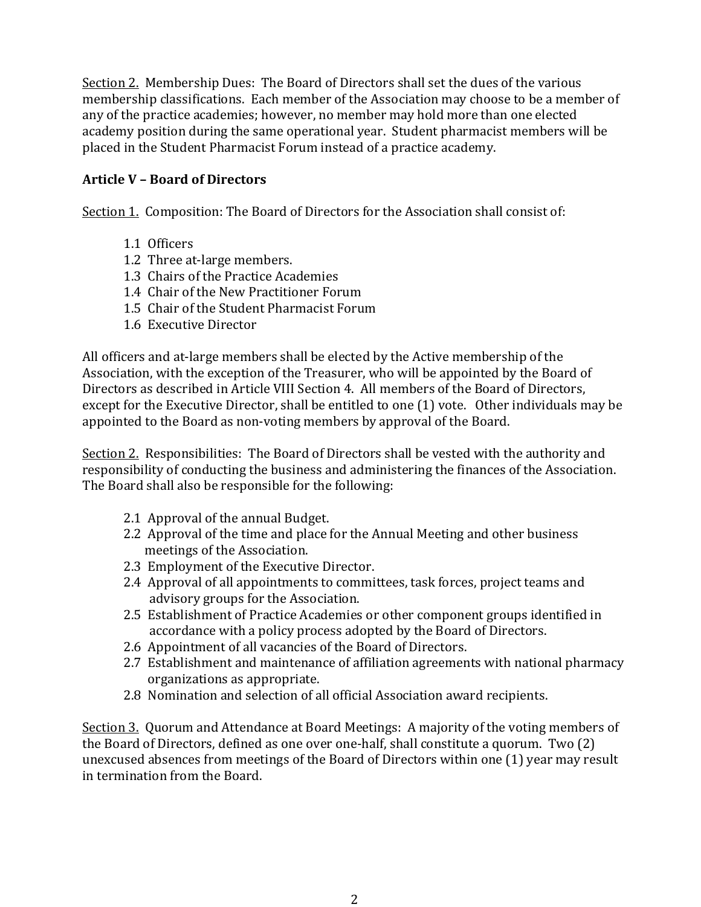Section 2. Membership Dues: The Board of Directors shall set the dues of the various membership classifications. Each member of the Association may choose to be a member of any of the practice academies; however, no member may hold more than one elected academy position during the same operational year. Student pharmacist members will be placed in the Student Pharmacist Forum instead of a practice academy.

## **Article V – Board of Directors**

Section 1. Composition: The Board of Directors for the Association shall consist of:

- 1.1 Officers
- 1.2 Three at-large members.
- 1.3 Chairs of the Practice Academies
- 1.4 Chair of the New Practitioner Forum
- 1.5 Chair of the Student Pharmacist Forum
- 1.6 Executive Director

All officers and at-large members shall be elected by the Active membership of the Association, with the exception of the Treasurer, who will be appointed by the Board of Directors as described in Article VIII Section 4. All members of the Board of Directors, except for the Executive Director, shall be entitled to one (1) vote. Other individuals may be appointed to the Board as non-voting members by approval of the Board.

Section 2. Responsibilities: The Board of Directors shall be vested with the authority and responsibility of conducting the business and administering the finances of the Association. The Board shall also be responsible for the following:

- 2.1 Approval of the annual Budget.
- 2.2 Approval of the time and place for the Annual Meeting and other business meetings of the Association.
- 2.3 Employment of the Executive Director.
- 2.4 Approval of all appointments to committees, task forces, project teams and advisory groups for the Association.
- 2.5 Establishment of Practice Academies or other component groups identified in accordance with a policy process adopted by the Board of Directors.
- 2.6 Appointment of all vacancies of the Board of Directors.
- 2.7 Establishment and maintenance of affiliation agreements with national pharmacy organizations as appropriate.
- 2.8 Nomination and selection of all official Association award recipients.

Section 3. Quorum and Attendance at Board Meetings: A majority of the voting members of the Board of Directors, defined as one over one-half, shall constitute a quorum. Two  $(2)$ unexcused absences from meetings of the Board of Directors within one (1) year may result in termination from the Board.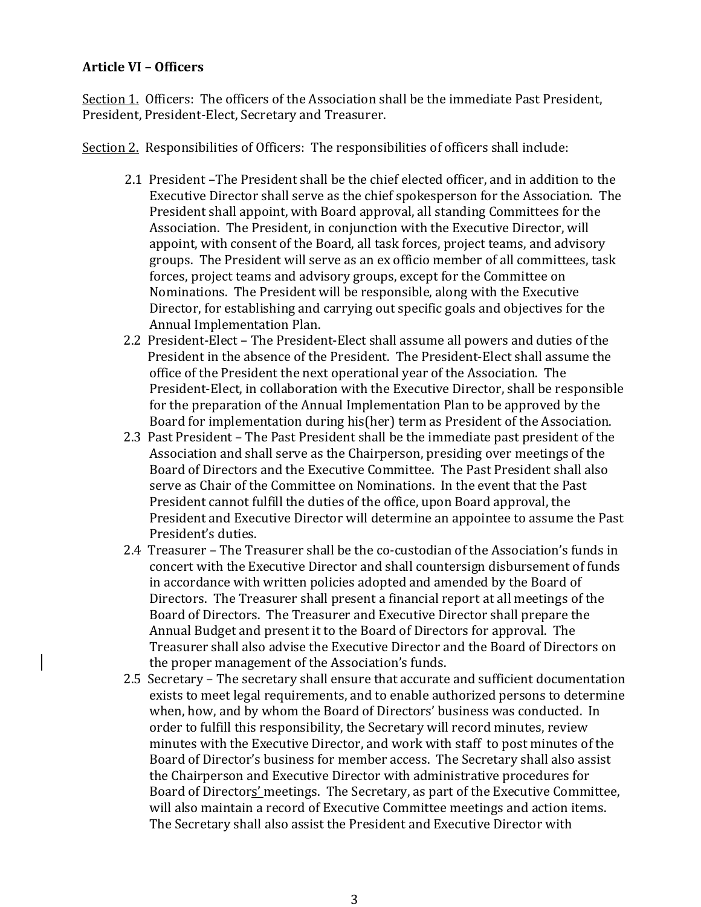### **Article VI – Officers**

Section 1. Officers: The officers of the Association shall be the immediate Past President, President, President-Elect, Secretary and Treasurer.

Section 2. Responsibilities of Officers: The responsibilities of officers shall include:

- 2.1 President -The President shall be the chief elected officer, and in addition to the Executive Director shall serve as the chief spokesperson for the Association. The President shall appoint, with Board approval, all standing Committees for the Association. The President, in conjunction with the Executive Director, will appoint, with consent of the Board, all task forces, project teams, and advisory groups. The President will serve as an ex officio member of all committees, task forces, project teams and advisory groups, except for the Committee on Nominations. The President will be responsible, along with the Executive Director, for establishing and carrying out specific goals and objectives for the Annual Implementation Plan.
- 2.2 President-Elect The President-Elect shall assume all powers and duties of the President in the absence of the President. The President-Elect shall assume the office of the President the next operational year of the Association. The President-Elect, in collaboration with the Executive Director, shall be responsible for the preparation of the Annual Implementation Plan to be approved by the Board for implementation during his(her) term as President of the Association.
- 2.3 Past President The Past President shall be the immediate past president of the Association and shall serve as the Chairperson, presiding over meetings of the Board of Directors and the Executive Committee. The Past President shall also serve as Chair of the Committee on Nominations. In the event that the Past President cannot fulfill the duties of the office, upon Board approval, the President and Executive Director will determine an appointee to assume the Past President's duties.
- 2.4 Treasurer The Treasurer shall be the co-custodian of the Association's funds in concert with the Executive Director and shall countersign disbursement of funds in accordance with written policies adopted and amended by the Board of Directors. The Treasurer shall present a financial report at all meetings of the Board of Directors. The Treasurer and Executive Director shall prepare the Annual Budget and present it to the Board of Directors for approval. The Treasurer shall also advise the Executive Director and the Board of Directors on the proper management of the Association's funds.
- 2.5 Secretary The secretary shall ensure that accurate and sufficient documentation exists to meet legal requirements, and to enable authorized persons to determine when, how, and by whom the Board of Directors' business was conducted. In order to fulfill this responsibility, the Secretary will record minutes, review minutes with the Executive Director, and work with staff to post minutes of the Board of Director's business for member access. The Secretary shall also assist the Chairperson and Executive Director with administrative procedures for Board of Directors' meetings. The Secretary, as part of the Executive Committee, will also maintain a record of Executive Committee meetings and action items. The Secretary shall also assist the President and Executive Director with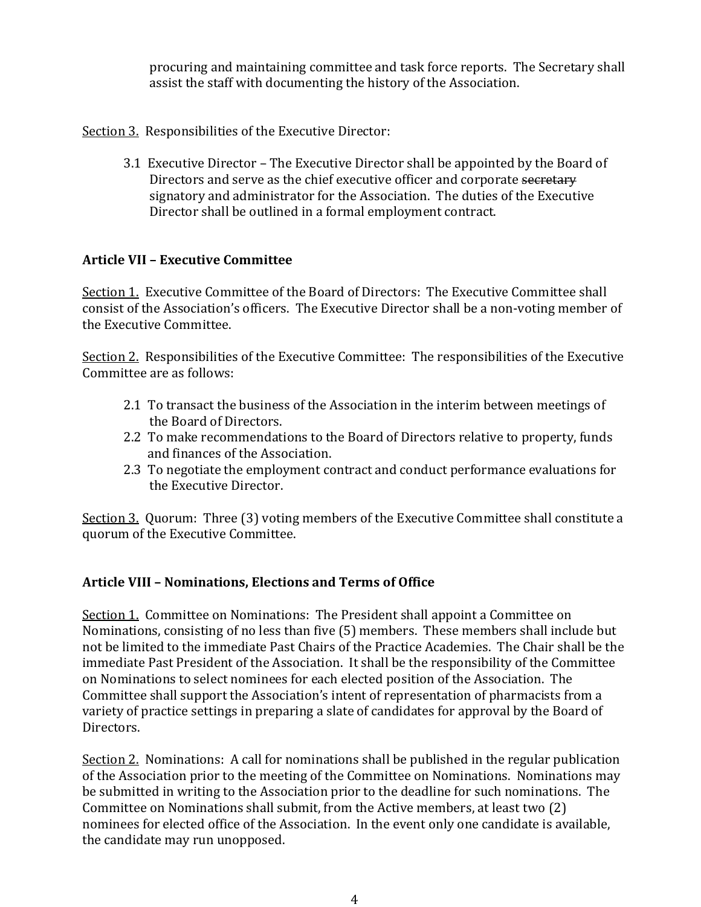procuring and maintaining committee and task force reports. The Secretary shall assist the staff with documenting the history of the Association.

Section 3. Responsibilities of the Executive Director:

3.1 Executive Director – The Executive Director shall be appointed by the Board of Directors and serve as the chief executive officer and corporate secretary signatory and administrator for the Association. The duties of the Executive Director shall be outlined in a formal employment contract.

## **Article VII – Executive Committee**

Section 1. Executive Committee of the Board of Directors: The Executive Committee shall consist of the Association's officers. The Executive Director shall be a non-voting member of the Executive Committee.

Section 2. Responsibilities of the Executive Committee: The responsibilities of the Executive Committee are as follows:

- 2.1 To transact the business of the Association in the interim between meetings of the Board of Directors.
- 2.2 To make recommendations to the Board of Directors relative to property, funds and finances of the Association.
- 2.3 To negotiate the employment contract and conduct performance evaluations for the Executive Director.

Section 3. Ouorum: Three (3) voting members of the Executive Committee shall constitute a quorum of the Executive Committee.

# **Article VIII – Nominations, Elections and Terms of Office**

Section 1. Committee on Nominations: The President shall appoint a Committee on Nominations, consisting of no less than five (5) members. These members shall include but not be limited to the immediate Past Chairs of the Practice Academies. The Chair shall be the immediate Past President of the Association. It shall be the responsibility of the Committee on Nominations to select nominees for each elected position of the Association. The Committee shall support the Association's intent of representation of pharmacists from a variety of practice settings in preparing a slate of candidates for approval by the Board of Directors. 

Section 2. Nominations: A call for nominations shall be published in the regular publication of the Association prior to the meeting of the Committee on Nominations. Nominations may be submitted in writing to the Association prior to the deadline for such nominations. The Committee on Nominations shall submit, from the Active members, at least two (2) nominees for elected office of the Association. In the event only one candidate is available, the candidate may run unopposed.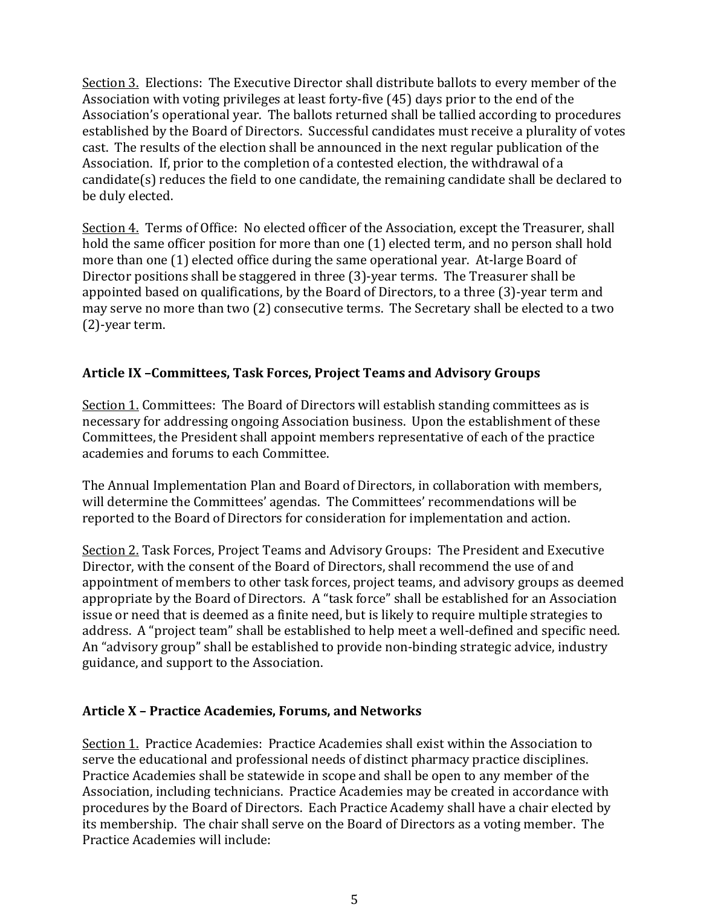Section 3. Elections: The Executive Director shall distribute ballots to every member of the Association with voting privileges at least forty-five (45) days prior to the end of the Association's operational year. The ballots returned shall be tallied according to procedures established by the Board of Directors. Successful candidates must receive a plurality of votes cast. The results of the election shall be announced in the next regular publication of the Association. If, prior to the completion of a contested election, the withdrawal of a candidate(s) reduces the field to one candidate, the remaining candidate shall be declared to be duly elected.

Section 4. Terms of Office: No elected officer of the Association, except the Treasurer, shall hold the same officer position for more than one (1) elected term, and no person shall hold more than one (1) elected office during the same operational year. At-large Board of Director positions shall be staggered in three (3)-year terms. The Treasurer shall be appointed based on qualifications, by the Board of Directors, to a three (3)-year term and may serve no more than two (2) consecutive terms. The Secretary shall be elected to a two  $(2)$ -year term.

# **Article IX –Committees, Task Forces, Project Teams and Advisory Groups**

Section 1. Committees: The Board of Directors will establish standing committees as is necessary for addressing ongoing Association business. Upon the establishment of these Committees, the President shall appoint members representative of each of the practice academies and forums to each Committee.

The Annual Implementation Plan and Board of Directors, in collaboration with members, will determine the Committees' agendas. The Committees' recommendations will be reported to the Board of Directors for consideration for implementation and action.

Section 2. Task Forces, Project Teams and Advisory Groups: The President and Executive Director, with the consent of the Board of Directors, shall recommend the use of and appointment of members to other task forces, project teams, and advisory groups as deemed appropriate by the Board of Directors. A "task force" shall be established for an Association issue or need that is deemed as a finite need, but is likely to require multiple strategies to address. A "project team" shall be established to help meet a well-defined and specific need. An "advisory group" shall be established to provide non-binding strategic advice, industry guidance, and support to the Association.

# Article X - Practice Academies, Forums, and Networks

Section 1. Practice Academies: Practice Academies shall exist within the Association to serve the educational and professional needs of distinct pharmacy practice disciplines. Practice Academies shall be statewide in scope and shall be open to any member of the Association, including technicians. Practice Academies may be created in accordance with procedures by the Board of Directors. Each Practice Academy shall have a chair elected by its membership. The chair shall serve on the Board of Directors as a voting member. The Practice Academies will include: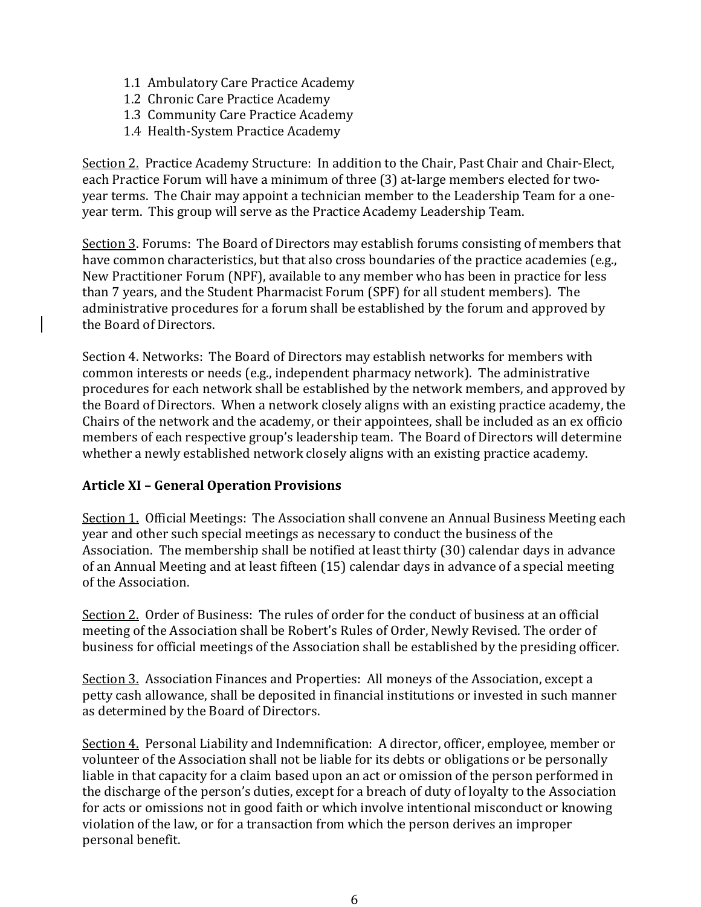- 1.1 Ambulatory Care Practice Academy
- 1.2 Chronic Care Practice Academy
- 1.3 Community Care Practice Academy
- 1.4 Health-System Practice Academy

Section 2. Practice Academy Structure: In addition to the Chair, Past Chair and Chair-Elect, each Practice Forum will have a minimum of three (3) at-large members elected for twoyear terms. The Chair may appoint a technician member to the Leadership Team for a oneyear term. This group will serve as the Practice Academy Leadership Team.

Section 3. Forums: The Board of Directors may establish forums consisting of members that have common characteristics, but that also cross boundaries of the practice academies (e.g., New Practitioner Forum (NPF), available to any member who has been in practice for less than 7 years, and the Student Pharmacist Forum (SPF) for all student members). The administrative procedures for a forum shall be established by the forum and approved by the Board of Directors.

Section 4. Networks: The Board of Directors may establish networks for members with common interests or needs (e.g., independent pharmacy network). The administrative procedures for each network shall be established by the network members, and approved by the Board of Directors. When a network closely aligns with an existing practice academy, the Chairs of the network and the academy, or their appointees, shall be included as an ex officio members of each respective group's leadership team. The Board of Directors will determine whether a newly established network closely aligns with an existing practice academy.

# **Article XI – General Operation Provisions**

Section 1. Official Meetings: The Association shall convene an Annual Business Meeting each year and other such special meetings as necessary to conduct the business of the Association. The membership shall be notified at least thirty (30) calendar days in advance of an Annual Meeting and at least fifteen (15) calendar days in advance of a special meeting of the Association.

Section 2. Order of Business: The rules of order for the conduct of business at an official meeting of the Association shall be Robert's Rules of Order, Newly Revised. The order of business for official meetings of the Association shall be established by the presiding officer.

Section 3. Association Finances and Properties: All moneys of the Association, except a petty cash allowance, shall be deposited in financial institutions or invested in such manner as determined by the Board of Directors.

Section 4. Personal Liability and Indemnification: A director, officer, employee, member or volunteer of the Association shall not be liable for its debts or obligations or be personally liable in that capacity for a claim based upon an act or omission of the person performed in the discharge of the person's duties, except for a breach of duty of loyalty to the Association for acts or omissions not in good faith or which involve intentional misconduct or knowing violation of the law, or for a transaction from which the person derives an improper personal benefit.